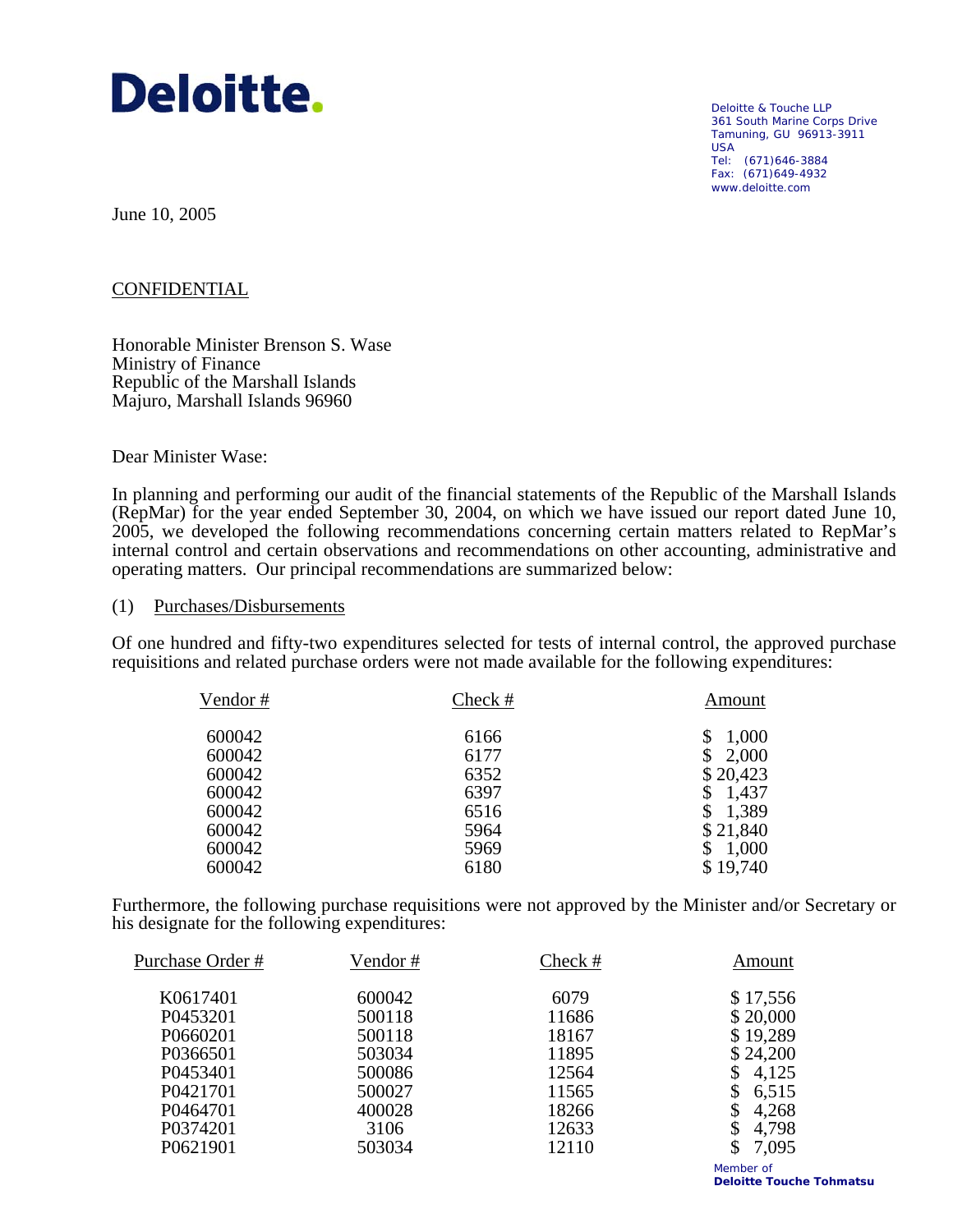

Deloitte & Touche LLP 361 South Marine Corps Drive Tamuning, GU 96913-3911 USA Tel: (671)646-3884 Fax: (671)649-4932 www.deloitte.com

June 10, 2005

# CONFIDENTIAL

Honorable Minister Brenson S. Wase Ministry of Finance Republic of the Marshall Islands Majuro, Marshall Islands 96960

Dear Minister Wase:

In planning and performing our audit of the financial statements of the Republic of the Marshall Islands (RepMar) for the year ended September 30, 2004, on which we have issued our report dated June 10, 2005, we developed the following recommendations concerning certain matters related to RepMar's internal control and certain observations and recommendations on other accounting, administrative and operating matters. Our principal recommendations are summarized below:

### (1) Purchases/Disbursements

Of one hundred and fifty-two expenditures selected for tests of internal control, the approved purchase requisitions and related purchase orders were not made available for the following expenditures:

| Vendor# | Check # | Amount   |
|---------|---------|----------|
| 600042  | 6166    | 1,000    |
| 600042  | 6177    | 2,000    |
| 600042  | 6352    | \$20,423 |
| 600042  | 6397    | 1,437    |
| 600042  | 6516    | 1,389    |
| 600042  | 5964    | \$21,840 |
| 600042  | 5969    | 1,000    |
| 600042  | 6180    | \$19,740 |

Furthermore, the following purchase requisitions were not approved by the Minister and/or Secretary or his designate for the following expenditures:

| Purchase Order # | Vendor# | Check # | Amount      |
|------------------|---------|---------|-------------|
| K0617401         | 600042  | 6079    | \$17,556    |
| P0453201         | 500118  | 11686   | \$20,000    |
| P0660201         | 500118  | 18167   | \$19,289    |
| P0366501         | 503034  | 11895   | \$24,200    |
| P0453401         | 500086  | 12564   | 4,125       |
| P0421701         | 500027  | 11565   | \$<br>6,515 |
| P0464701         | 400028  | 18266   | \$<br>4,268 |
| P0374201         | 3106    | 12633   | 4,798<br>\$ |
| P0621901         | 503034  | 12110   | \$<br>7,095 |
|                  |         |         |             |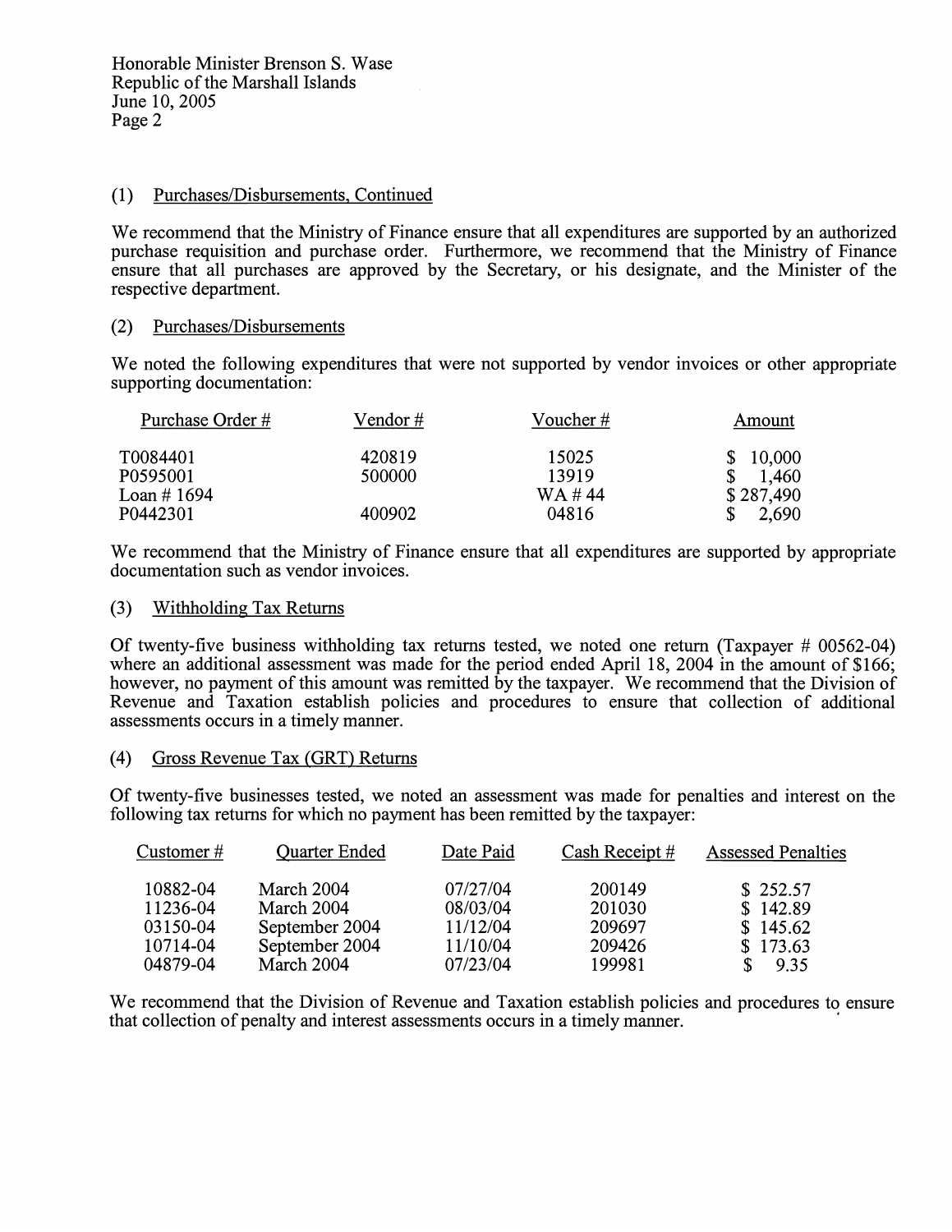## (1) Purchases/Disbursements, Continued

We recommend that the Ministry of Finance ensure that all expenditures are supported by an authorized purchase requisition and purchase order. Furthermore, we recommend that the Ministry of Finance ensure that all purchases are approved by the Secretary, or his designate, and the Minister of the respective department.

### (2) Purchases/Disbursements

We noted the following expenditures that were not supported by vendor invoices or other appropriate supporting documentation:

| Purchase Order # | Vendor # | Voucher # | Amount    |
|------------------|----------|-----------|-----------|
| T0084401         | 420819   | 15025     | \$10,000  |
| P0595001         | 500000   | 13919     | 1,460     |
| Loan #1694       |          | WA #44    | \$287,490 |
| P0442301         | 400902   | 04816     | 2,690     |

We recommend that the Ministry of Finance ensure that all expenditures are supported by appropriate documentation such as vendor invoices.

### (3) Withholding Tax Returns

Of twenty-five business withholding tax returns tested, we noted one return (Taxpayer # 00562-04) where an additional assessment was made for the period ended April 18, 2004 in the amount of \$166. however, no payment of this amount was remitted by the taxpayer. We recommend that the Division of Revenue and Taxation establish policies and procedures to ensure that collection of additional assessments occurs in a timely manner.

## (4) Gross Revenue Tax (GRT) Returns

Of twenty-five businesses tested, we noted an assessment was made for penalties and interest on the following tax returns for which no payment has been remitted by the taxpayer:

| Customer $#$ | <b>Quarter Ended</b> | Date Paid | Cash Receipt # | <b>Assessed Penalties</b> |
|--------------|----------------------|-----------|----------------|---------------------------|
| 10882-04     | March 2004           | 07/27/04  | 200149         | \$252.57                  |
| 11236-04     | March 2004           | 08/03/04  | 201030         | \$142.89                  |
| 03150-04     | September 2004       | 11/12/04  | 209697         | \$145.62                  |
| 10714-04     | September 2004       | 11/10/04  | 209426         | \$173.63                  |
| 04879-04     | March 2004           | 07/23/04  | 199981         | 9.35                      |

We recommend that the Division of Revenue and Taxation establish policies and procedures to ensure that collection of penalty and interest assessments occurs in a timely manner.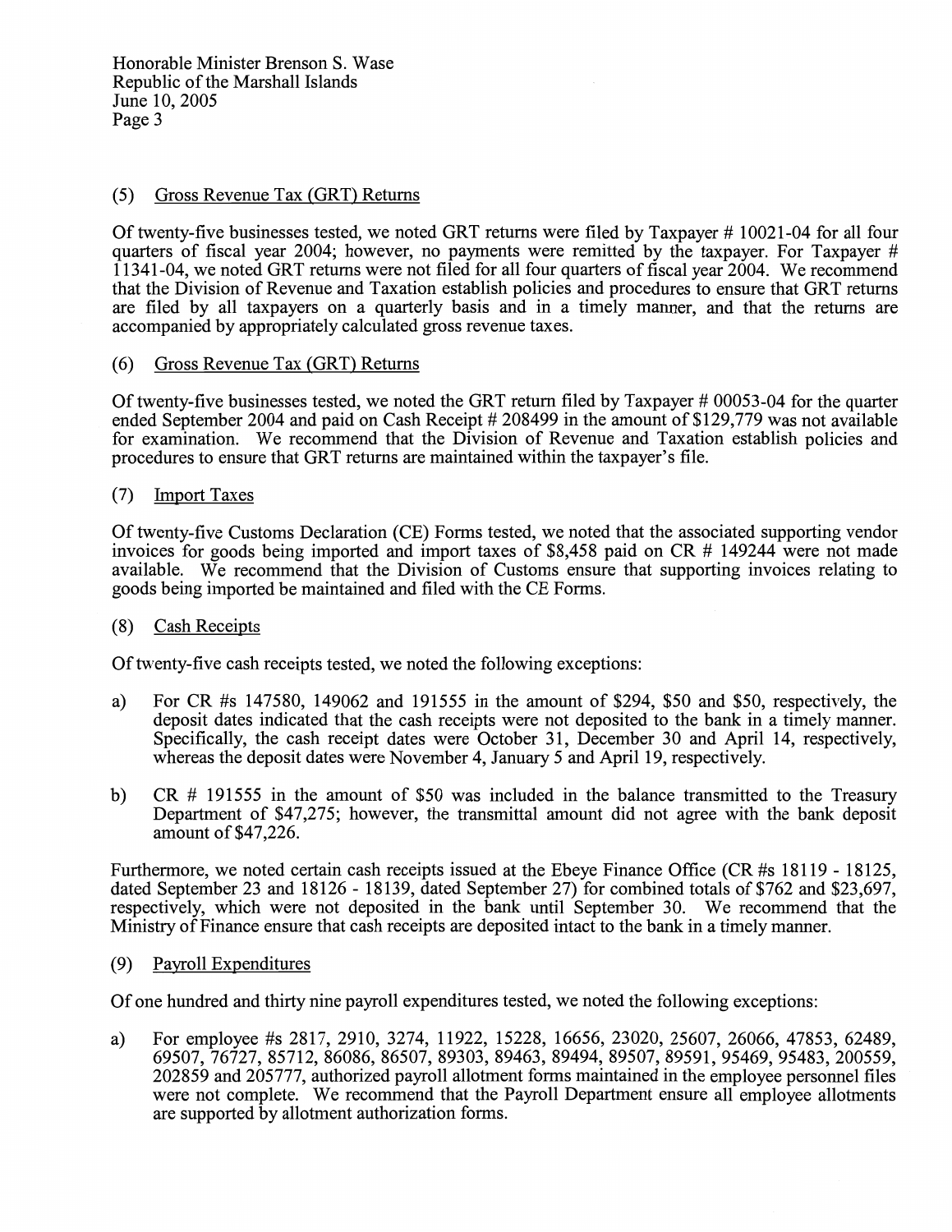Honorable Minister Brenson S. Wase Republic of the Marshall Islands June 10, 2005 Page 3

# (5) Gross Revenue Tax (GRT) Returns

Of twenty-five businesses tested, we noted GRT returns were filed by Taxpayer #10021-04 for all four quarters of fiscal year 2004; however, no payments were remitted by the taxpayer. For Taxpayer #  $11341-04$ , we noted GRT returns were not filed for all four quarters of fiscal year 2004. We recommend that the Division of Revenue and Taxation establish policies and procedures to ensure that GRT returns are filed by all taxpayers on a quarterly basis and in a timely manner, and that the returns are accompanied by appropriately calculated gross revenue taxes.

#### $(6)$ Gross Revenue Tax (GRT) Returns

Of twenty-five businesses tested, we noted the GRT return filed by Taxpayer # 00053-04 for the quarter ended September 2004 and paid on Cash Receipt # 208499 in the amount of \$129,779 was not available for examination. We recommend that the Division of Revenue and Taxation establish policies and procedures to ensure that GRT returns are maintained within the taxpayer's file.

#### **Import Taxes**  $(7)$

Of twenty-five Customs Declaration (CE) Forms tested, we noted that the associated supporting vendor invoices for goods being imported and import taxes of \$8,458 paid on CR # 149244 were not made available. We recommend that the Division of Customs ensure that supporting invoices relating to goods being imported be maintained and filed with the CE Forms.

#### $(8)$ **Cash Receipts**

Of twenty-five cash receipts tested, we noted the following exceptions:

- For CR #s 147580, 149062 and 191555 in the amount of \$294, \$50 and \$50, respectively, the a) deposit dates indicated that the cash receipts were not deposited to the bank in a timely manner. Specifically, the cash receipt dates were October 31, December 30 and April 14, respectively, whereas the deposit dates were November 4, January 5 and April 19, respectively.
- $CR$  # 191555 in the amount of \$50 was included in the balance transmitted to the Treasury  $b)$ Department of \$47,275; however, the transmittal amount did not agree with the bank deposit amount of \$47,226.

Furthermore, we noted certain cash receipts issued at the Ebeye Finance Office (CR #s 18119 - 18125, dated September 23 and 18126 - 18139, dated September 27) for combined totals of \$762 and \$23,697, respectively, which were not deposited in the bank until September 30. We recommend that the Ministry of Finance ensure that cash receipts are deposited intact to the bank in a timely manner.

#### Payroll Expenditures  $(9)$

Of one hundred and thirty nine payroll expenditures tested, we noted the following exceptions:

For employee #s 2817, 2910, 3274, 11922, 15228, 16656, 23020, 25607, 26066, 47853, 62489, a) 69507, 76727, 85712, 86086, 86507, 89303, 89463, 89494, 89507, 89591, 95469, 95483, 200559, 202859 and 205777, authorized payroll allotment forms maintained in the employee personnel files were not complete. We recommend that the Payroll Department ensure all employee allotments are supported by allotment authorization forms.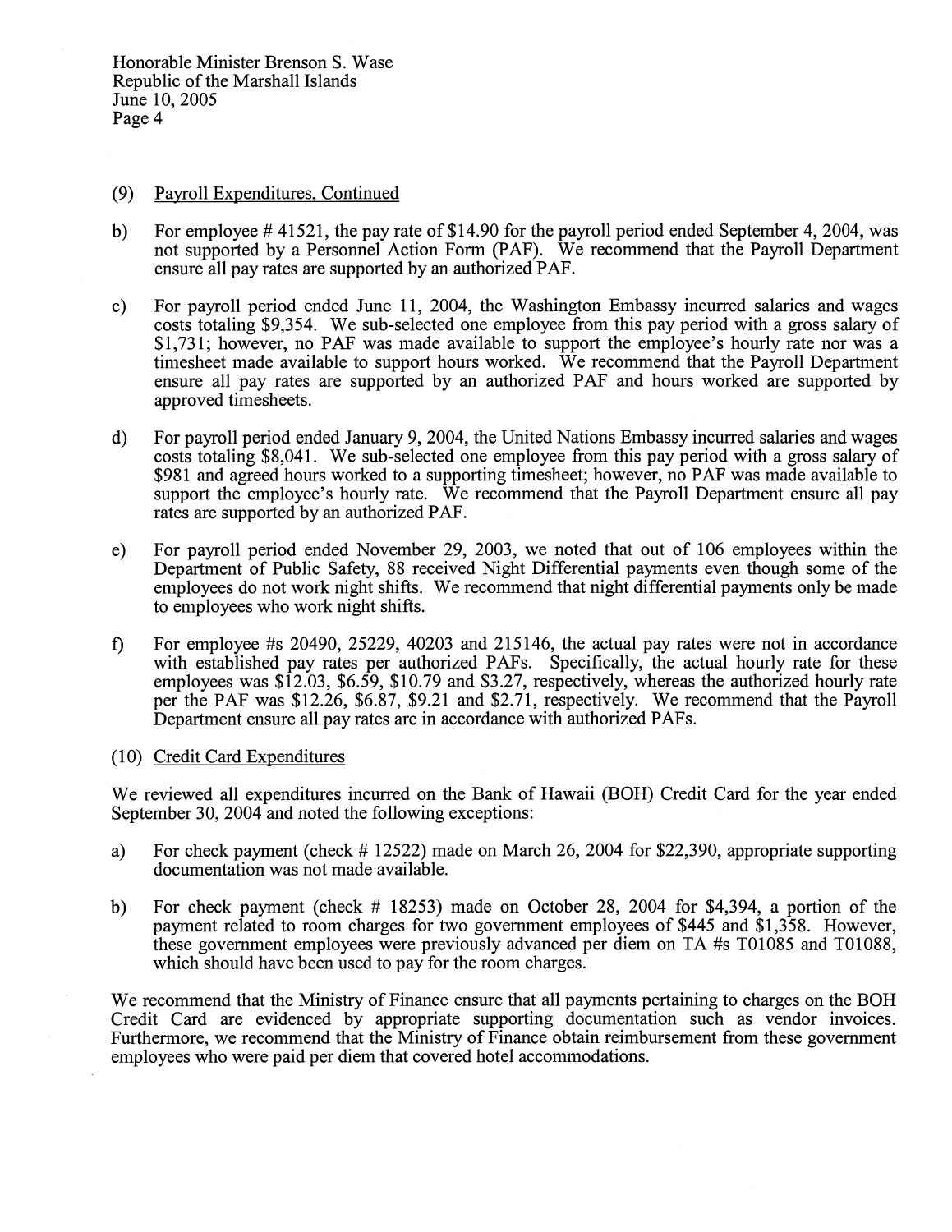Honorable Minister Brenson S. Wase Republic of the Marshall Islands June 10, 2005 Page 4

#### $(9)$ Payroll Expenditures, Continued

- For employee  $\#$  41521, the pay rate of \$14.90 for the payroll period ended September 4, 2004, was  $b)$ not supported by a Personnel Action Form (PAF). We recommend that the Payroll Department ensure all pay rates are supported by an authorized PAF.
- For payroll period ended June 11, 2004, the Washington Embassy incurred salaries and wages  $c)$ costs totaling \$9,354. We sub-selected one employee from this pay period with a gross salary of \$1,731; however, no PAF was made available to support the employee's hourly rate nor was a timesheet made available to support hours worked. We recommend that the Payroll Department ensure all pay rates are supported by an authorized PAF and hours worked are supported by approved timesheets.
- For payroll period ended January 9, 2004, the United Nations Embassy incurred salaries and wages  $\mathbf{d}$ costs totaling \$8,041. We sub-selected one employee from this pay period with a gross salary of \$981 and agreed hours worked to a supporting timesheet; however, no PAF was made available to support the employee's hourly rate. We recommend that the Payroll Department ensure all pay rates are supported by an authorized PAF.
- For payroll period ended November 29, 2003, we noted that out of 106 employees within the  $e)$ Department of Public Safety, 88 received Night Differential payments even though some of the employees do not work night shifts. We recommend that night differential payments only be made to employees who work night shifts.
- For employee # $\frac{20490}{25229}$ , 40203 and 215146, the actual pay rates were not in accordance  $\mathbf{f}$ with established pay rates per authorized PAFs. Specifically, the actual hourly rate for these employees was  $$12.03, $6.59, $10.79$  and \$3.27, respectively, whereas the authorized hourly rate per the PAF was \$12.26, \$6.87, \$9.21 and \$2.71, respectively. We recommend that the Payroll Department ensure all pay rates are in accordance with authorized PAFs.

## (10) Credit Card Expenditures

We reviewed all expenditures incurred on the Bank of Hawaii (BOH) Credit Card for the year ended September 30, 2004 and noted the following exceptions:

- For check payment (check  $\#$  12522) made on March 26, 2004 for \$22,390, appropriate supporting  $a)$ documentation was not made available.
- For check payment (check  $\#$  18253) made on October 28, 2004 for \$4,394, a portion of the  $b)$ payment related to room charges for two government employees of \$445 and \$1,358. However, these government employees were previously advanced per diem on TA #s T01085 and T01088, which should have been used to pay for the room charges.

We recommend that the Ministry of Finance ensure that all payments pertaining to charges on the BOH Credit Card are evidenced by appropriate supporting documentation such as vendor invoices. Furthermore, we recommend that the Ministry of Finance obtain reimbursement from these government employees who were paid per diem that covered hotel accommodations.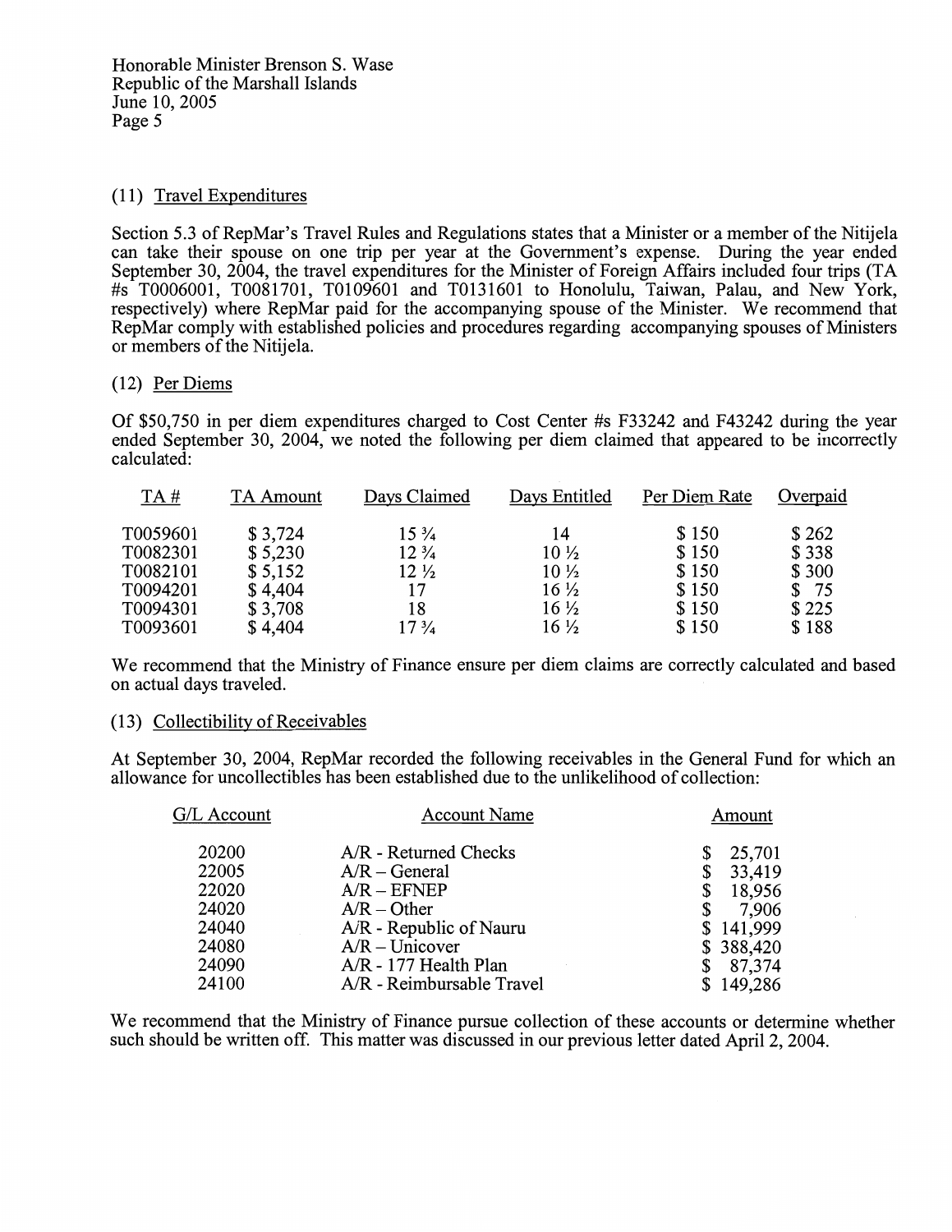# (11) Travel Expenditures

Section 5.3 of RepMar's Travel Rules and Regulations states that a Minister or a member of the Nitijela can take their spouse on one trip per year at the Government's expense. During the year ended September 30, 2004, the travel expenditures for the Minister of Foreign Affairs included four trips (TA  $\#s$  T0006001, T0081701, T0109601 and T0131601 to Honolulu, Taiwan, Palau, and New York, respectively) where RepMar paid for the accompanying spouse of the Minister. We recommend that RepMar comply with established policies and procedures regarding accompanying spouses of Ministers or members of the Nitijela.

# (12) Per Diems

Of \$50,750 in per diem expenditures charged to Cost Center #s F33242 and F43242 during the year ended September 30, 2004, we noted the following per diem claimed that appeared to be incorrectly calculated:

| TA#      | TA Amount | Days Claimed    | Days Entitled   | Per Diem Rate | Overpaid |
|----------|-----------|-----------------|-----------------|---------------|----------|
| T0059601 | \$3,724   | $15\frac{3}{4}$ | 14              | \$150         | \$262    |
| T0082301 | \$5,230   | $12\frac{3}{4}$ | $10\frac{1}{2}$ | \$150         | \$338    |
| T0082101 | \$5,152   | $12\frac{1}{2}$ | $10\frac{1}{2}$ | \$150         | \$300    |
| T0094201 | \$4,404   | 17              | $16\frac{1}{2}$ | \$150         | \$75     |
| T0094301 | \$3,708   | 18              | $16\frac{1}{2}$ | \$150         | \$225    |
| T0093601 | \$4,404   | $17\frac{3}{4}$ | $16\frac{1}{2}$ | \$150         | \$188    |

We recommend that the Ministry of Finance ensure per diem claims are correctly calculated and based on actual days traveled.

## (13) Collectibility of Receivables

At September 30, 2004, RepMar recorded the following receivables in the General Fund for which an allowance for uncollectibles has been established due to the unlikelihood of collection:

| G/L Account | <b>Account Name</b>       | Amount    |
|-------------|---------------------------|-----------|
| 20200       | $A/R$ - Returned Checks   | 25,701    |
| 22005       | $A/R - General$           | 33,419    |
| 22020       | $A/R - EFNEP$             | 18,956    |
| 24020       | $A/R - Other$             | 7,906     |
| 24040       | A/R - Republic of Nauru   | \$141,999 |
| 24080       | $A/R - Unicover$          | \$388,420 |
| 24090       | A/R - 177 Health Plan     | 87,374    |
| 24100       | A/R - Reimbursable Travel | \$149,286 |

We recommend that the Ministry of Finance pursue collection of these accounts or determine whether such should be written off. This matter was discussed in our previous letter dated April 2, 2004.